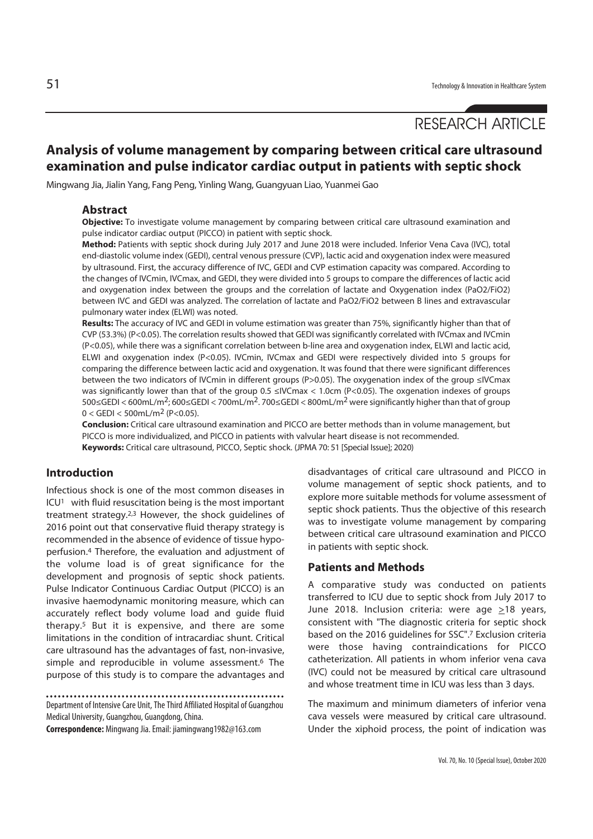# RESEARCH ARTICLE

# **Analysis of volume management by comparing between critical care ultrasound examination and pulse indicator cardiac output in patients with septic shock**

Mingwang Jia, Jialin Yang, Fang Peng, Yinling Wang, Guangyuan Liao, Yuanmei Gao

#### **Abstract**

**Objective:** To investigate volume management by comparing between critical care ultrasound examination and pulse indicator cardiac output (PICCO) in patient with septic shock.

**Method:** Patients with septic shock during July 2017 and June 2018 were included. Inferior Vena Cava (IVC), total end-diastolic volume index (GEDI), central venous pressure (CVP), lactic acid and oxygenation index were measured by ultrasound. First, the accuracy difference of IVC, GEDI and CVP estimation capacity was compared. According to the changes of IVCmin, IVCmax, and GEDI, they were divided into 5 groups to compare the differences of lactic acid and oxygenation index between the groups and the correlation of lactate and Oxygenation index (PaO2/FiO2) between IVC and GEDI was analyzed. The correlation of lactate and PaO2/FiO2 between B lines and extravascular pulmonary water index (ELWI) was noted.

**Results:** The accuracy of IVC and GEDI in volume estimation was greater than 75%, significantly higher than that of CVP (53.3%) (P<0.05). The correlation results showed that GEDI was significantly correlated with IVCmax and IVCmin (P<0.05), while there was a significant correlation between b-line area and oxygenation index, ELWI and lactic acid, ELWI and oxygenation index (P<0.05). IVCmin, IVCmax and GEDI were respectively divided into 5 groups for comparing the difference between lactic acid and oxygenation. It was found that there were significant differences between the two indicators of IVCmin in different groups (P>0.05). The oxygenation index of the group ≤IVCmax was significantly lower than that of the group 0.5 ≤IVCmax < 1.0cm (P<0.05). The oxgenation indexes of groups 500≤GEDI < 600mL/m2; 600≤GEDI < 700mL/m2. 700≤GEDI < 800mL/m2 were significantly higher than that of group  $0 <$  GEDI  $<$  500mL/m<sup>2</sup> (P<0.05).

**Conclusion:** Critical care ultrasound examination and PICCO are better methods than in volume management, but PICCO is more individualized, and PICCO in patients with valvular heart disease is not recommended. **Keywords:** Critical care ultrasound, PICCO, Septic shock. (JPMA 70: 51 [Special Issue]; 2020)

#### **Introduction**

Infectious shock is one of the most common diseases in ICU1 with fluid resuscitation being is the most important treatment strategy.2,3 However, the shock guidelines of 2016 point out that conservative fluid therapy strategy is recommended in the absence of evidence of tissue hypoperfusion.4 Therefore, the evaluation and adjustment of the volume load is of great significance for the development and prognosis of septic shock patients. Pulse Indicator Continuous Cardiac Output (PICCO) is an invasive haemodynamic monitoring measure, which can accurately reflect body volume load and guide fluid therapy.5 But it is expensive, and there are some limitations in the condition of intracardiac shunt. Critical care ultrasound has the advantages of fast, non-invasive, simple and reproducible in volume assessment.<sup>6</sup> The purpose of this study is to compare the advantages and

Department of Intensive Care Unit, The Third Affiliated Hospital of Guangzhou Medical University, Guangzhou, Guangdong, China.

**Correspondence:** Mingwang Jia. Email: jiamingwang1982@163.com

disadvantages of critical care ultrasound and PICCO in volume management of septic shock patients, and to explore more suitable methods for volume assessment of septic shock patients. Thus the objective of this research was to investigate volume management by comparing between critical care ultrasound examination and PICCO in patients with septic shock.

#### **Patients and Methods**

A comparative study was conducted on patients transferred to ICU due to septic shock from July 2017 to June 2018. Inclusion criteria: were age >18 years, consistent with "The diagnostic criteria for septic shock based on the 2016 guidelines for SSC".7 Exclusion criteria were those having contraindications for PICCO catheterization. All patients in whom inferior vena cava (IVC) could not be measured by critical care ultrasound and whose treatment time in ICU was less than 3 days.

The maximum and minimum diameters of inferior vena cava vessels were measured by critical care ultrasound. Under the xiphoid process, the point of indication was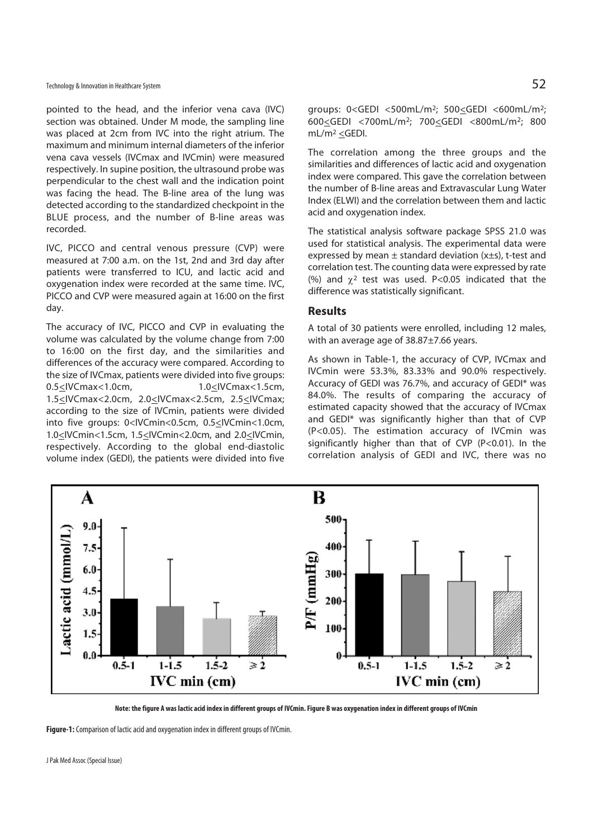pointed to the head, and the inferior vena cava (IVC) section was obtained. Under M mode, the sampling line was placed at 2cm from IVC into the right atrium. The maximum and minimum internal diameters of the inferior vena cava vessels (IVCmax and IVCmin) were measured respectively. In supine position, the ultrasound probe was perpendicular to the chest wall and the indication point was facing the head. The B-line area of the lung was detected according to the standardized checkpoint in the BLUE process, and the number of B-line areas was recorded.

IVC, PICCO and central venous pressure (CVP) were measured at 7:00 a.m. on the 1st, 2nd and 3rd day after patients were transferred to ICU, and lactic acid and oxygenation index were recorded at the same time. IVC, PICCO and CVP were measured again at 16:00 on the first day.

The accuracy of IVC, PICCO and CVP in evaluating the volume was calculated by the volume change from 7:00 to 16:00 on the first day, and the similarities and differences of the accuracy were compared. According to the size of IVCmax, patients were divided into five groups: 0.5<IVCmax<1.0cm, 1.0<IVCmax<1.5cm, 1.5<IVCmax<2.0cm, 2.0<IVCmax<2.5cm, 2.5<IVCmax; according to the size of IVCmin, patients were divided into five groups: 0<IVCmin<0.5cm, 0.5<IVCmin<1.0cm, 1.0<IVCmin<1.5cm, 1.5<IVCmin<2.0cm, and 2.0<IVCmin, respectively. According to the global end-diastolic volume index (GEDI), the patients were divided into five

groups: 0<GEDI <500mL/m2; 500<GEDI <600mL/m2; 600<GEDI <700mL/m2; 700<GEDI <800mL/m2; 800 mL/m<sup>2</sup>  $\leq$ GEDI.

The correlation among the three groups and the similarities and differences of lactic acid and oxygenation index were compared. This gave the correlation between the number of B-line areas and Extravascular Lung Water Index (ELWI) and the correlation between them and lactic acid and oxygenation index.

The statistical analysis software package SPSS 21.0 was used for statistical analysis. The experimental data were expressed by mean  $\pm$  standard deviation (x $\pm$ s), t-test and correlation test. The counting data were expressed by rate (%) and  $\gamma^2$  test was used. P<0.05 indicated that the difference was statistically significant.

#### **Results**

A total of 30 patients were enrolled, including 12 males, with an average age of 38.87±7.66 years.

As shown in Table-1, the accuracy of CVP, IVCmax and IVCmin were 53.3%, 83.33% and 90.0% respectively. Accuracy of GEDI was 76.7%, and accuracy of GEDI\* was 84.0%. The results of comparing the accuracy of estimated capacity showed that the accuracy of IVCmax and GEDI\* was significantly higher than that of CVP (P<0.05). The estimation accuracy of IVCmin was significantly higher than that of CVP (P<0.01). In the correlation analysis of GEDI and IVC, there was no



**Note: the figure A was lactic acid index in different groups of IVCmin. Figure B was oxygenation index in different groups of IVCmin** 

**Figure-1:** Comparison of lactic acid and oxygenation index in different groups of IVCmin.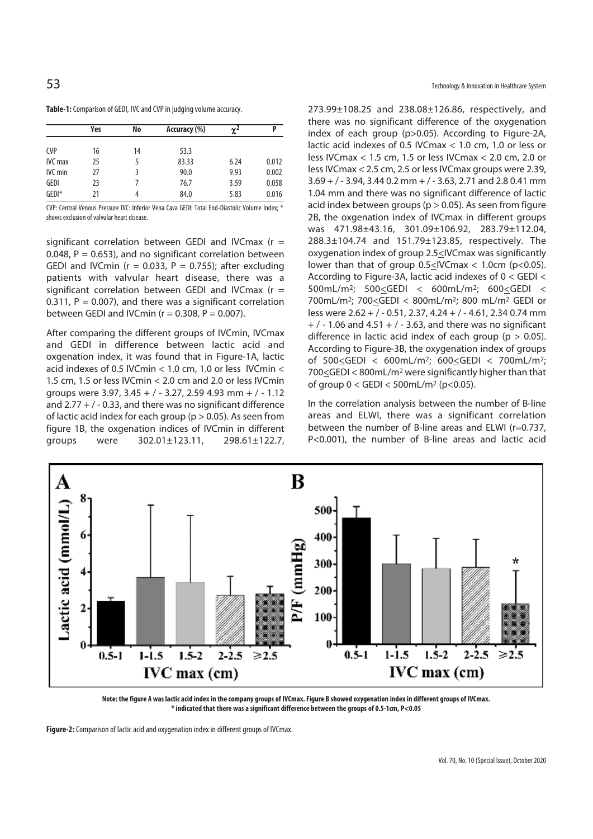|  |  | Table-1: Comparison of GEDI, IVC and CVP in judging volume accuracy. |  |
|--|--|----------------------------------------------------------------------|--|
|--|--|----------------------------------------------------------------------|--|

|                | Yes | No | Accuracy (%) | $\gamma^2$ | D     |
|----------------|-----|----|--------------|------------|-------|
| <b>CVP</b>     | 16  | 14 | 53.3         |            |       |
| <b>IVC</b> max | 25  | 5  | 83.33        | 6.24       | 0.012 |
| <b>IVC</b> min | 27  | 3  | 90.0         | 9.93       | 0.002 |
| GEDI           | 23  |    | 76.7         | 3.59       | 0.058 |
| $GEDI^*$       | 21  | 4  | 84.0         | 5.83       | 0.016 |

CVP: Central Venous Pressure IVC: Inferior Vena Cava GEDI: Total End-Diastolic Volume Index; \* shows exclusion of valvular heart disease.

significant correlation between GEDI and IVCmax ( $r =$ 0.048,  $P = 0.653$ ), and no significant correlation between GEDI and IVCmin ( $r = 0.033$ ,  $P = 0.755$ ); after excluding patients with valvular heart disease, there was a significant correlation between GEDI and IVCmax  $(r =$ 0.311,  $P = 0.007$ ), and there was a significant correlation between GEDI and IVCmin ( $r = 0.308$ ,  $P = 0.007$ ).

After comparing the different groups of IVCmin, IVCmax and GEDI in difference between lactic acid and oxgenation index, it was found that in Figure-1A, lactic acid indexes of 0.5 IVCmin < 1.0 cm, 1.0 or less IVCmin < 1.5 cm, 1.5 or less IVCmin < 2.0 cm and 2.0 or less IVCmin groups were 3.97, 3.45 + / - 3.27, 2.59 4.93 mm + / - 1.12 and  $2.77 + 7 - 0.33$ , and there was no significant difference of lactic acid index for each group ( $p > 0.05$ ). As seen from figure 1B, the oxgenation indices of IVCmin in different groups were 302.01±123.11, 298.61±122.7, 273.99±108.25 and 238.08±126.86, respectively, and there was no significant difference of the oxygenation index of each group (p>0.05). According to Figure-2A, lactic acid indexes of 0.5 IVCmax < 1.0 cm, 1.0 or less or less IVCmax < 1.5 cm, 1.5 or less IVCmax < 2.0 cm, 2.0 or less IVCmax < 2.5 cm, 2.5 or less IVCmax groups were 2.39,  $3.69 +$  / - 3.94, 3.44 0.2 mm + / - 3.63, 2.71 and 2.8 0.41 mm 1.04 mm and there was no significant difference of lactic acid index between groups ( $p > 0.05$ ). As seen from figure 2B, the oxgenation index of IVCmax in different groups was 471.98±43.16, 301.09±106.92, 283.79±112.04, 288.3±104.74 and 151.79±123.85, respectively. The oxygenation index of group 2.5<IVCmax was significantly lower than that of group  $0.5 \leq$  IVC max < 1.0cm (p<0.05). According to Figure-3A, lactic acid indexes of 0 < GEDI < 500mL/m2; 500<GEDI < 600mL/m2; 600<GEDI < 700mL/m2; 700<GEDI < 800mL/m2; 800 mL/m2 GEDI or less were 2.62 + / - 0.51, 2.37, 4.24 + / - 4.61, 2.34 0.74 mm  $+$  / - 1.06 and 4.51  $+$  / - 3.63, and there was no significant difference in lactic acid index of each group ( $p > 0.05$ ). According to Figure-3B, the oxygenation index of groups of 500<GEDI < 600mL/m2; 600<GEDI < 700mL/m2; 700<GEDI < 800mL/m<sup>2</sup> were significantly higher than that of group  $0 <$  GEDI  $<$  500mL/m<sup>2</sup> (p<0.05).

In the correlation analysis between the number of B-line areas and ELWI, there was a significant correlation between the number of B-line areas and ELWI (r=0.737, P<0.001), the number of B-line areas and lactic acid



**Note: the figure A was lactic acid index in the company groups of IVCmax. Figure B showed oxygenation index in different groups of IVCmax. \* indicated that there was a significant difference between the groups of 0.5-1cm, P<0.05** 

**Figure-2:** Comparison of lactic acid and oxygenation index in different groups of IVCmax.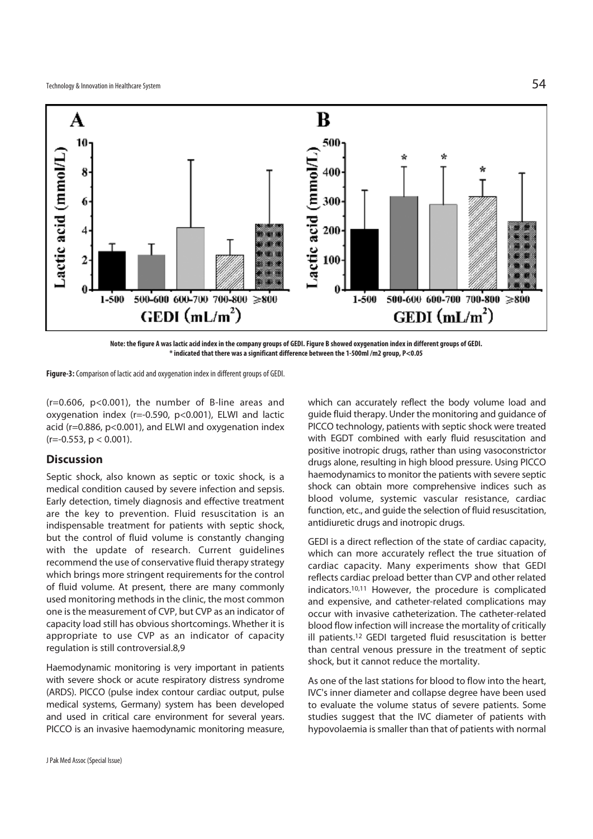

**Note: the figure A was lactic acid index in the company groups of GEDI. Figure B showed oxygenation index in different groups of GEDI. \* indicated that there was a significant difference between the 1-500ml /m2 group, P<0.05** 

**Figure-3:** Comparison of lactic acid and oxygenation index in different groups of GEDI.

 $(r=0.606, p<0.001)$ , the number of B-line areas and oxygenation index (r=-0.590, p<0.001), ELWI and lactic acid (r=0.886, p<0.001), and ELWI and oxygenation index  $(r=-0.553, p < 0.001)$ .

## **Discussion**

Septic shock, also known as septic or toxic shock, is a medical condition caused by severe infection and sepsis. Early detection, timely diagnosis and effective treatment are the key to prevention. Fluid resuscitation is an indispensable treatment for patients with septic shock, but the control of fluid volume is constantly changing with the update of research. Current guidelines recommend the use of conservative fluid therapy strategy which brings more stringent requirements for the control of fluid volume. At present, there are many commonly used monitoring methods in the clinic, the most common one is the measurement of CVP, but CVP as an indicator of capacity load still has obvious shortcomings. Whether it is appropriate to use CVP as an indicator of capacity regulation is still controversial.8,9

Haemodynamic monitoring is very important in patients with severe shock or acute respiratory distress syndrome (ARDS). PICCO (pulse index contour cardiac output, pulse medical systems, Germany) system has been developed and used in critical care environment for several years. PICCO is an invasive haemodynamic monitoring measure, positive inotropic drugs, rather than using vasoconstrictor drugs alone, resulting in high blood pressure. Using PICCO haemodynamics to monitor the patients with severe septic shock can obtain more comprehensive indices such as blood volume, systemic vascular resistance, cardiac function, etc., and guide the selection of fluid resuscitation, antidiuretic drugs and inotropic drugs. GEDI is a direct reflection of the state of cardiac capacity,

which can more accurately reflect the true situation of cardiac capacity. Many experiments show that GEDI reflects cardiac preload better than CVP and other related indicators.10,11 However, the procedure is complicated and expensive, and catheter-related complications may occur with invasive catheterization. The catheter-related blood flow infection will increase the mortality of critically ill patients.12 GEDI targeted fluid resuscitation is better than central venous pressure in the treatment of septic shock, but it cannot reduce the mortality.

which can accurately reflect the body volume load and guide fluid therapy. Under the monitoring and guidance of PICCO technology, patients with septic shock were treated with EGDT combined with early fluid resuscitation and

As one of the last stations for blood to flow into the heart, IVC's inner diameter and collapse degree have been used to evaluate the volume status of severe patients. Some studies suggest that the IVC diameter of patients with hypovolaemia is smaller than that of patients with normal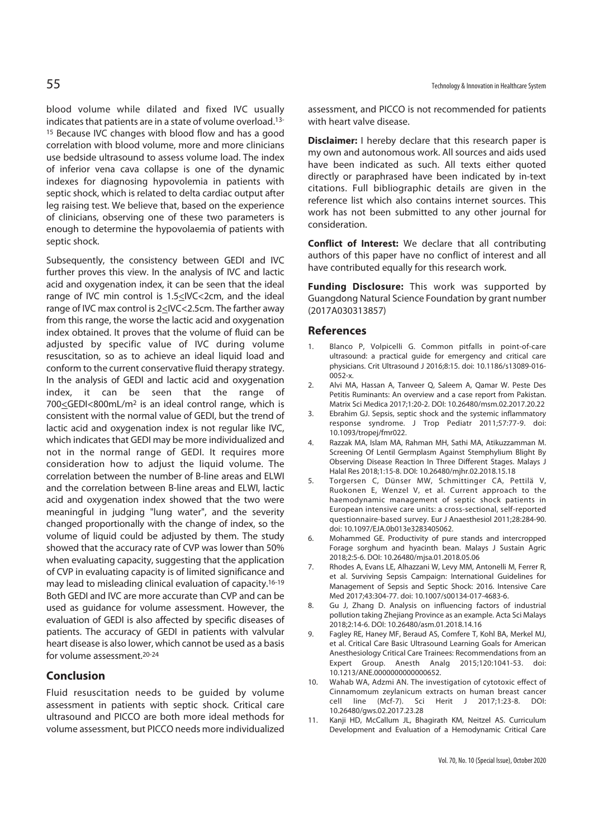blood volume while dilated and fixed IVC usually indicates that patients are in a state of volume overload.13- 15 Because IVC changes with blood flow and has a good correlation with blood volume, more and more clinicians use bedside ultrasound to assess volume load. The index of inferior vena cava collapse is one of the dynamic indexes for diagnosing hypovolemia in patients with septic shock, which is related to delta cardiac output after leg raising test. We believe that, based on the experience of clinicians, observing one of these two parameters is enough to determine the hypovolaemia of patients with septic shock.

Subsequently, the consistency between GEDI and IVC further proves this view. In the analysis of IVC and lactic acid and oxygenation index, it can be seen that the ideal range of IVC min control is 1.5<IVC<2cm, and the ideal range of IVC max control is 2<IVC<2.5cm. The farther away from this range, the worse the lactic acid and oxygenation index obtained. It proves that the volume of fluid can be adjusted by specific value of IVC during volume resuscitation, so as to achieve an ideal liquid load and conform to the current conservative fluid therapy strategy. In the analysis of GEDI and lactic acid and oxygenation index, it can be seen that the range of 700<GEDI<800mL/m<sup>2</sup> is an ideal control range, which is consistent with the normal value of GEDI, but the trend of lactic acid and oxygenation index is not regular like IVC, which indicates that GEDI may be more individualized and not in the normal range of GEDI. It requires more consideration how to adjust the liquid volume. The correlation between the number of B-line areas and ELWI and the correlation between B-line areas and ELWI, lactic acid and oxygenation index showed that the two were meaningful in judging "lung water", and the severity changed proportionally with the change of index, so the volume of liquid could be adjusted by them. The study showed that the accuracy rate of CVP was lower than 50% when evaluating capacity, suggesting that the application of CVP in evaluating capacity is of limited significance and may lead to misleading clinical evaluation of capacity.16-19 Both GEDI and IVC are more accurate than CVP and can be used as guidance for volume assessment. However, the evaluation of GEDI is also affected by specific diseases of patients. The accuracy of GEDI in patients with valvular heart disease is also lower, which cannot be used as a basis for volume assessment.20-24

## **Conclusion**

Fluid resuscitation needs to be guided by volume assessment in patients with septic shock. Critical care ultrasound and PICCO are both more ideal methods for volume assessment, but PICCO needs more individualized assessment, and PICCO is not recommended for patients with heart valve disease.

**Disclaimer:** I hereby declare that this research paper is my own and autonomous work. All sources and aids used have been indicated as such. All texts either quoted directly or paraphrased have been indicated by in-text citations. Full bibliographic details are given in the reference list which also contains internet sources. This work has not been submitted to any other journal for consideration.

**Conflict of Interest:** We declare that all contributing authors of this paper have no conflict of interest and all have contributed equally for this research work.

**Funding Disclosure:** This work was supported by Guangdong Natural Science Foundation by grant number (2017A030313857)

#### **References**

- Blanco P, Volpicelli G. Common pitfalls in point-of-care ultrasound: a practical guide for emergency and critical care physicians. Crit Ultrasound J 2016;8:15. doi: 10.1186/s13089-016- 0052-x.
- 2. Alvi MA, Hassan A, Tanveer Q, Saleem A, Qamar W. Peste Des Petitis Ruminants: An overview and a case report from Pakistan. Matrix Sci Medica 2017;1:20-2. DOI: 10.26480/msm.02.2017.20.22
- 3. Ebrahim GJ. Sepsis, septic shock and the systemic inflammatory response syndrome. J Trop Pediatr 2011;57:77-9. doi: 10.1093/tropej/fmr022.
- 4. Razzak MA, Islam MA, Rahman MH, Sathi MA, Atikuzzamman M. Screening Of Lentil Germplasm Against Stemphylium Blight By Observing Disease Reaction In Three Different Stages. Malays J Halal Res 2018;1:15-8. DOI: 10.26480/mjhr.02.2018.15.18
- 5. Torgersen C, Dünser MW, Schmittinger CA, Pettilä V, Ruokonen E, Wenzel V, et al. Current approach to the haemodynamic management of septic shock patients in European intensive care units: a cross-sectional, self-reported questionnaire-based survey. Eur J Anaesthesiol 2011;28:284-90. doi: 10.1097/EJA.0b013e3283405062.
- 6. Mohammed GE. Productivity of pure stands and intercropped Forage sorghum and hyacinth bean. Malays J Sustain Agric 2018;2:5-6. DOI: 10.26480/mjsa.01.2018.05.06
- 7. Rhodes A, Evans LE, Alhazzani W, Levy MM, Antonelli M, Ferrer R, et al. Surviving Sepsis Campaign: International Guidelines for Management of Sepsis and Septic Shock: 2016. Intensive Care Med 2017;43:304-77. doi: 10.1007/s00134-017-4683-6.
- 8. Gu J, Zhang D. Analysis on influencing factors of industrial pollution taking Zhejiang Province as an example. Acta Sci Malays 2018;2:14-6. DOI: 10.26480/asm.01.2018.14.16
- 9. Fagley RE, Haney MF, Beraud AS, Comfere T, Kohl BA, Merkel MJ, et al. Critical Care Basic Ultrasound Learning Goals for American Anesthesiology Critical Care Trainees: Recommendations from an Expert Group. Anesth Analg 2015;120:1041-53. doi: 10.1213/ANE.0000000000000652.
- 10. Wahab WA, Adzmi AN. The investigation of cytotoxic effect of Cinnamomum zeylanicum extracts on human breast cancer cell line (Mcf-7). Sci Herit J 2017;1:23-8. DOI: 10.26480/gws.02.2017.23.28
- 11. Kanji HD, McCallum JL, Bhagirath KM, Neitzel AS. Curriculum Development and Evaluation of a Hemodynamic Critical Care